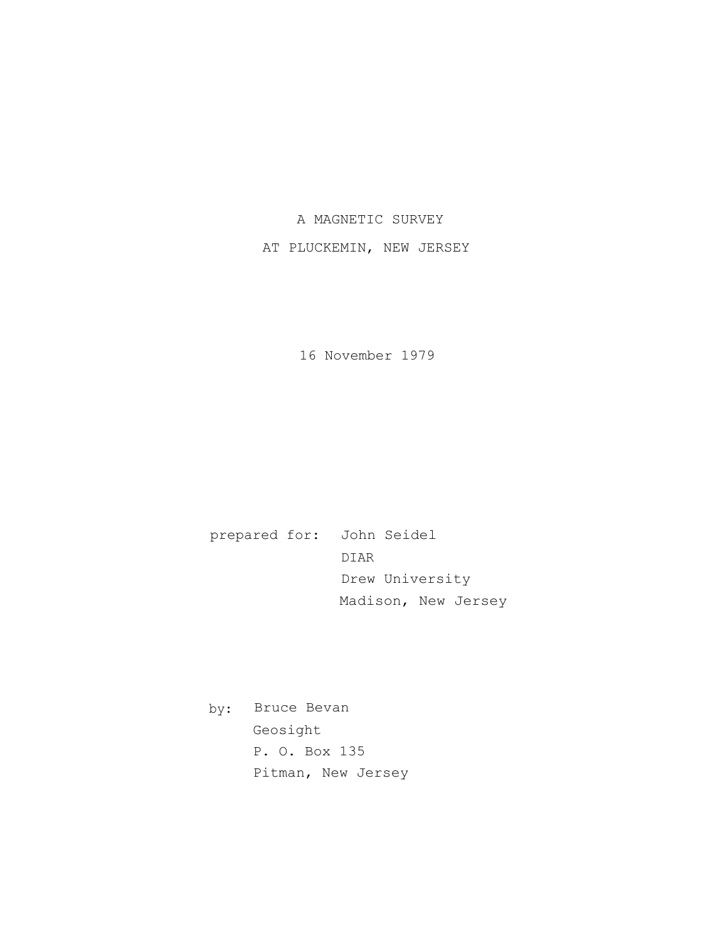## A MAGNETIC SURVEY

## AT PLUCKEMIN, NEW JERSEY

16 November 1979

prepared for: John Seidel DIAR Drew University Madison, New Jersey

by: Bruce Bevan Geosight P. O. Box 135 Pitman, New Jersey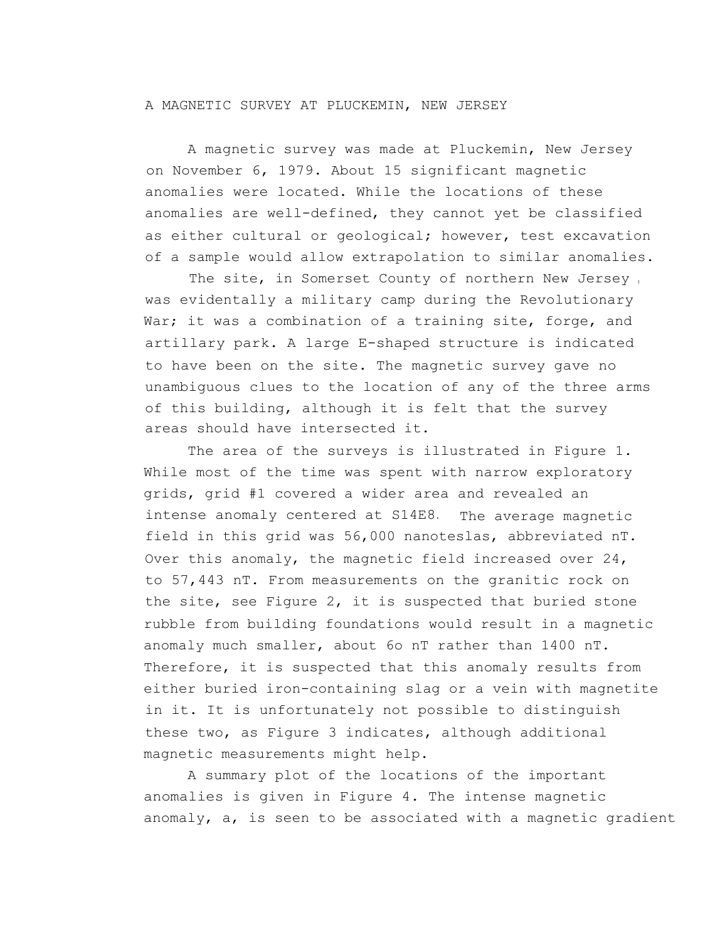## A MAGNETIC SURVEY AT PLUCKEMIN, NEW JERSEY

A magnetic survey was made at Pluckemin, New Jersey on November 6, 1979. About 15 significant magnetic anomalies were located. While the locations of these anomalies are well-defined, they cannot yet be classified as either cultural or geological; however, test excavation of a sample would allow extrapolation to similar anomalies.

The site, in Somerset County of northern New Jersey , was evidentally a military camp during the Revolutionary War; it was a combination of a training site, forge, and artillary park. A large E-shaped structure is indicated to have been on the site. The magnetic survey gave no unambiguous clues to the location of any of the three arms of this building, although it is felt that the survey areas should have intersected it.

The area of the surveys is illustrated in Figure 1. While most of the time was spent with narrow exploratory grids, grid #1 covered a wider area and revealed an intense anomaly centered at S14E8. The average magnetic field in this grid was 56,000 nanoteslas, abbreviated nT. Over this anomaly, the magnetic field increased over 24, to 57,443 nT. From measurements on the granitic rock on the site, see Figure 2, it is suspected that buried stone rubble from building foundations would result in a magnetic anomaly much smaller, about 6o nT rather than 1400 nT. Therefore, it is suspected that this anomaly results from either buried iron-containing slag or a vein with magnetite in it. It is unfortunately not possible to distinguish these two, as Figure 3 indicates, although additional magnetic measurements might help.

A summary plot of the locations of the important anomalies is given in Figure 4. The intense magnetic anomaly, a, is seen to be associated with a magnetic gradient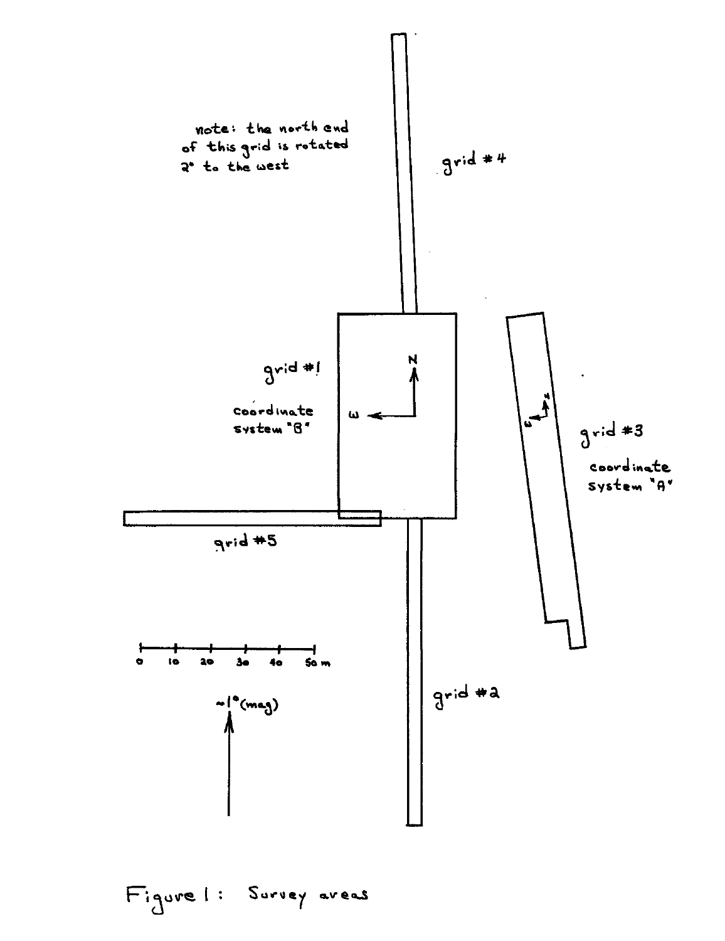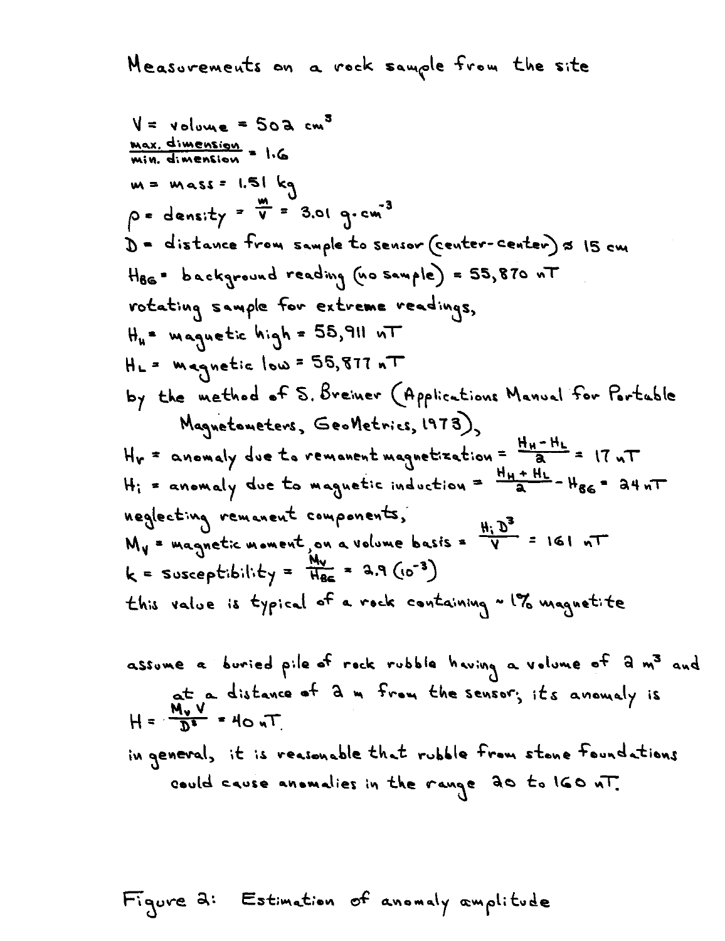Measurements on a rock sample from the site

V = volume = 50a cm<sup>3</sup>  
\n**Max. dimension = 1.6**  
\n**m = mass = 1.51 kg**  
\n
$$
\rho = density = \frac{m}{V} = 3.01 g cm^{-3}
$$
\nD = distance from sample to sensor (center-center) s 15 cm  
\nHas = background reading (no sample) = 55,870 nT  
\nrotating sample for extreme readings,  
\nH<sub>h</sub> = magnetic high = 55,811 nT  
\nH<sub>L</sub> = magnetic long = 55,871 nT  
\nby the method of S. Breiner (Applications Manual for Particle  
\nMagnetometers, GeoNetrics, 1973)  
\nH<sub>V</sub> = anomaly due to magnetic induction =  $\frac{H_H + H_L}{a} = 17 nT$   
\nH<sub>i</sub> = anomaly due to magnetic induction =  $\frac{H_H + H_L}{a} = H_{66} = 34 nT$   
\nneglecting remanent components,  
\nM<sub>V</sub> = magnetic moment on a volume basis =  $\frac{H_1 D^3}{V} = 161 nT$   
\n $k =$  susceptibility =  $\frac{H_0}{H_{66}} = 3.9 (0^{-3})$   
\nthis value is typical of a rock containing ~ 1% magnetic of a m<sup>3</sup> and

assume a buried pile of rock rubble having a volume of d m' and  
at a distance of d m from the sensor; its anomaly is  

$$
H = \frac{M_v V}{D^2} = 40 nT
$$

in general, it is reasonable that rubble from stone foundations could cause anomalies in the range 20 to 160 MT.

Figure 2: Estimation of anomaly amplitude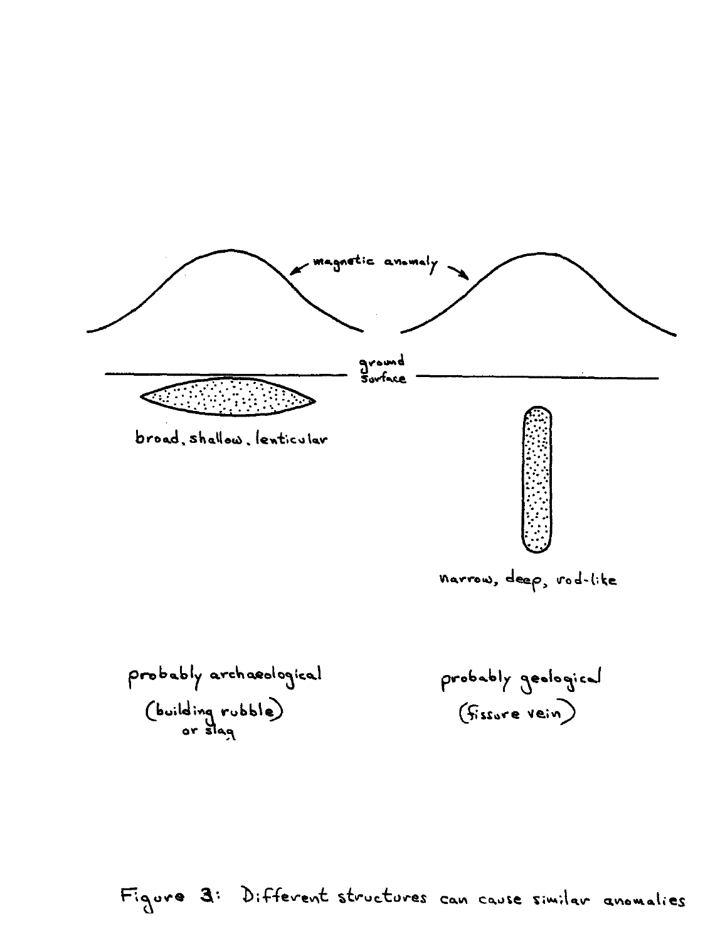

narrow, deep, rod-like

probably archaeological (building rubble)

probably geological (fissure vein)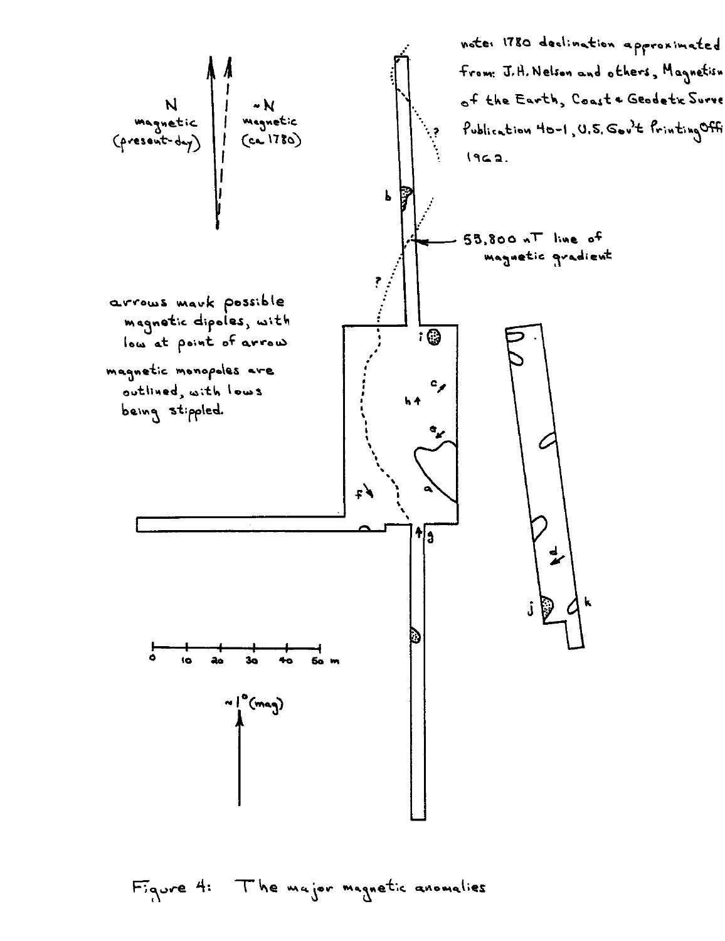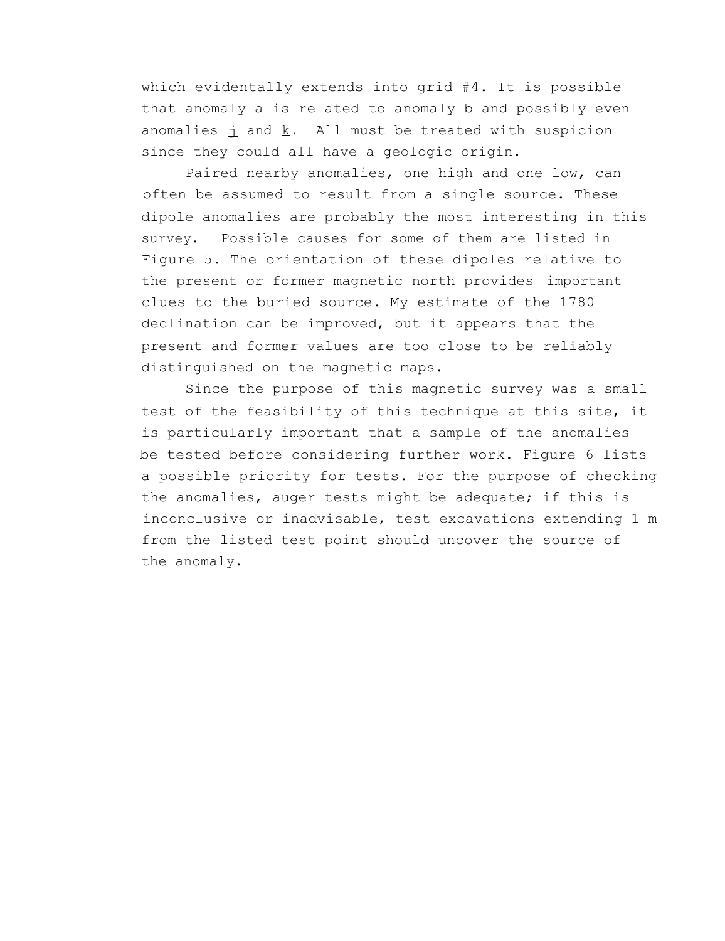which evidentally extends into grid #4. It is possible that anomaly a is related to anomaly b and possibly even anomalies  $\frac{1}{1}$  and  $\frac{k}{5}$ . All must be treated with suspicion since they could all have a geologic origin.

Paired nearby anomalies, one high and one low, can often be assumed to result from a single source. These dipole anomalies are probably the most interesting in this survey. Possible causes for some of them are listed in Figure 5. The orientation of these dipoles relative to the present or former magnetic north provides important clues to the buried source. My estimate of the 1780 declination can be improved, but it appears that the present and former values are too close to be reliably distinguished on the magnetic maps.

Since the purpose of this magnetic survey was a small test of the feasibility of this technique at this site, it is particularly important that a sample of the anomalies be tested before considering further work. Figure 6 lists a possible priority for tests. For the purpose of checking the anomalies, auger tests might be adequate; if this is inconclusive or inadvisable, test excavations extending 1 m from the listed test point should uncover the source of the anomaly.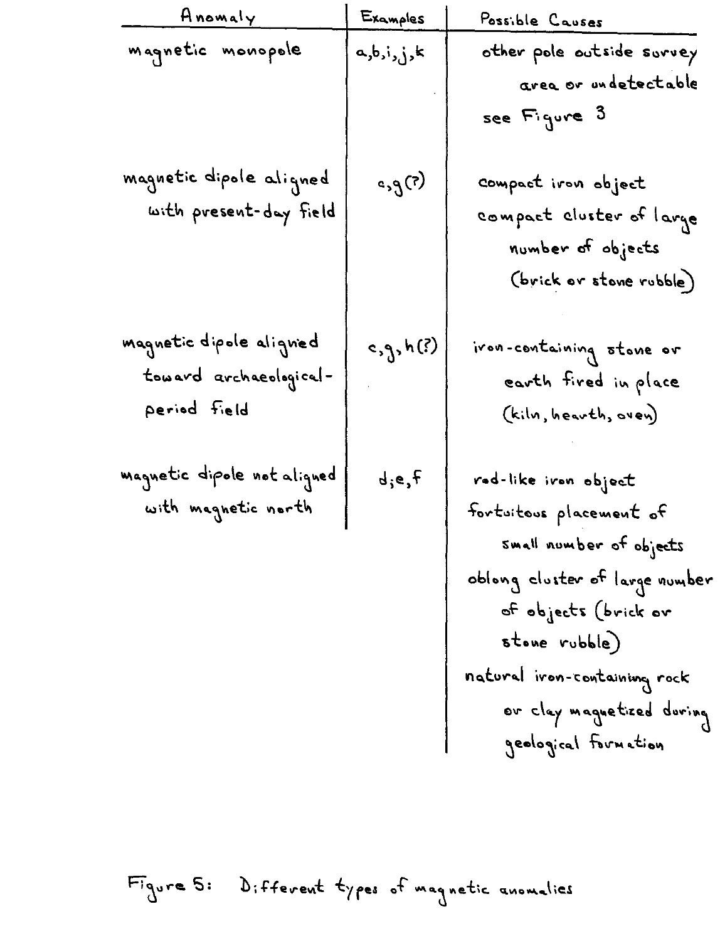| Anomaly                     | Examples              | Possible Causes                |
|-----------------------------|-----------------------|--------------------------------|
| magnetic monopole           | a,b,i,j,k             | other pole outside survey      |
|                             |                       | area or undetectable           |
|                             |                       | see Figure 3                   |
| magnetic dipole aligned     | $\epsilon, \theta(z)$ | compact iron object            |
| with present-day field      |                       |                                |
|                             |                       | compact cluster of large       |
|                             |                       | number of objects              |
|                             |                       | (brick or stone rubble)        |
| magnetic dipole aligned     | c, g, h(?)            | ivon-containing stone or       |
| toward archaeological-      |                       | earth fired in place           |
| period field                |                       | (kiln, hearth, oven)           |
|                             |                       |                                |
| magnetic dipole not aligned | d, e, f               | rad-like iron object           |
| with magnetic north         |                       | fortuitous placement of        |
|                             |                       | small number of objects        |
|                             |                       | oblong cluster of large number |
|                             |                       | of objects (brick ov           |
|                             |                       | stone rubble)                  |
|                             |                       | natural iron-containing rock   |
|                             |                       | or clay magnetized during      |
|                             |                       | geological formation           |

Figure 5: Different types of magnetic anomalies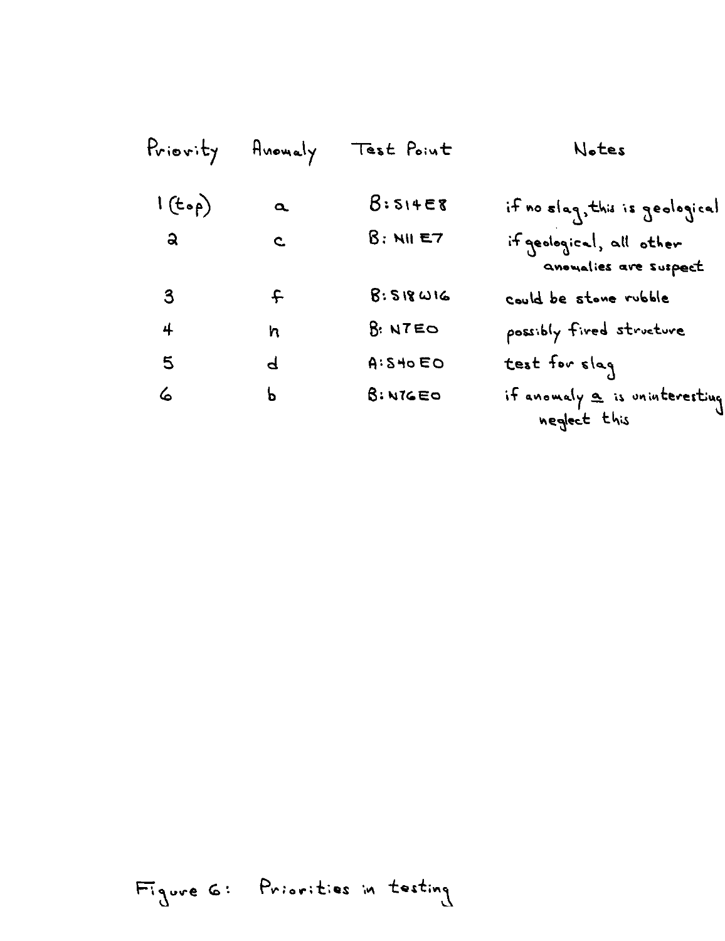| Priority     | Anomaly      | Test Point          | Notes                                             |
|--------------|--------------|---------------------|---------------------------------------------------|
| 1(top)       | $\alpha$     | 8:514E8             | if no slag, this is geological                    |
| ್ನ           | $\mathbf{c}$ | $8:$ NII E7         | if geological, all other<br>anoualies are suspect |
| $\mathbf{3}$ | $\mathbf{f}$ | $8.518$ $\omega$ 16 | could be stone rubble                             |
| 4            | h            | 8: NTEO             | possibly fived structure                          |
| 5            | P            | A:540EO             | test for slag                                     |
| 6            | Ъ            | B: NIGEO            | if anomaly a is uninteresting<br>neglect this     |

Figure G: Priorities in testing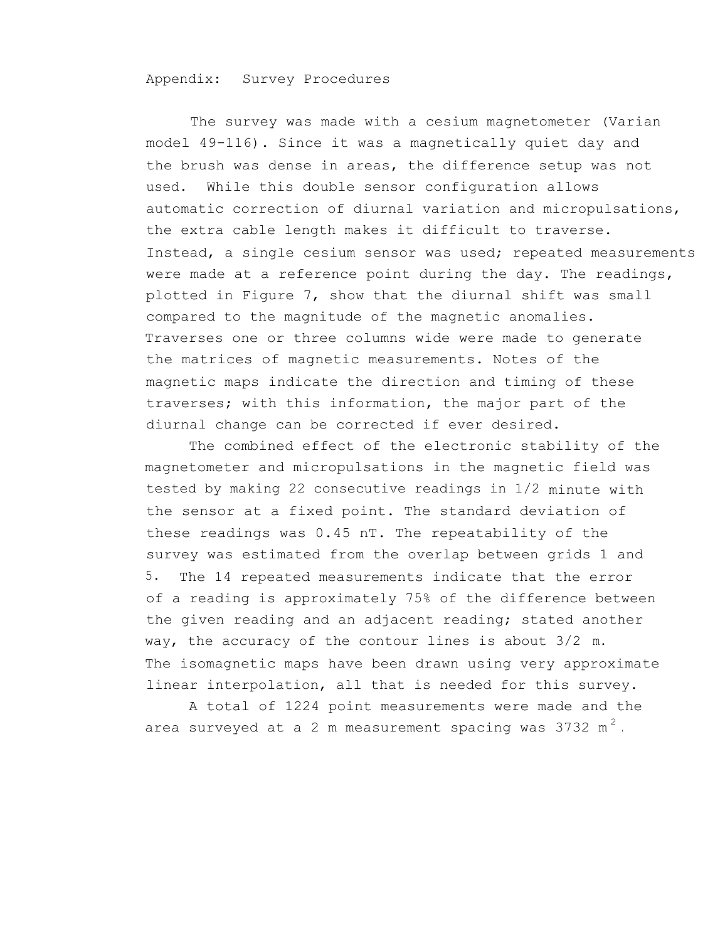## Appendix: Survey Procedures

The survey was made with a cesium magnetometer (Varian model 49-116). Since it was a magnetically quiet day and the brush was dense in areas, the difference setup was not used. While this double sensor configuration allows automatic correction of diurnal variation and micropulsations, the extra cable length makes it difficult to traverse. Instead, a single cesium sensor was used; repeated measurements were made at a reference point during the day. The readings, plotted in Figure 7, show that the diurnal shift was small compared to the magnitude of the magnetic anomalies. Traverses one or three columns wide were made to generate the matrices of magnetic measurements. Notes of the magnetic maps indicate the direction and timing of these traverses; with this information, the major part of the diurnal change can be corrected if ever desired.

The combined effect of the electronic stability of the magnetometer and micropulsations in the magnetic field was tested by making 22 consecutive readings in 1/2 minute with the sensor at a fixed point. The standard deviation of these readings was 0.45 nT. The repeatability of the survey was estimated from the overlap between grids 1 and 5. The 14 repeated measurements indicate that the error of a reading is approximately 75% of the difference between the given reading and an adjacent reading; stated another way, the accuracy of the contour lines is about 3/2 m. The isomagnetic maps have been drawn using very approximate linear interpolation, all that is needed for this survey.

A total of 1224 point measurements were made and the area surveyed at a 2 m measurement spacing was 3732 m<sup>2</sup>.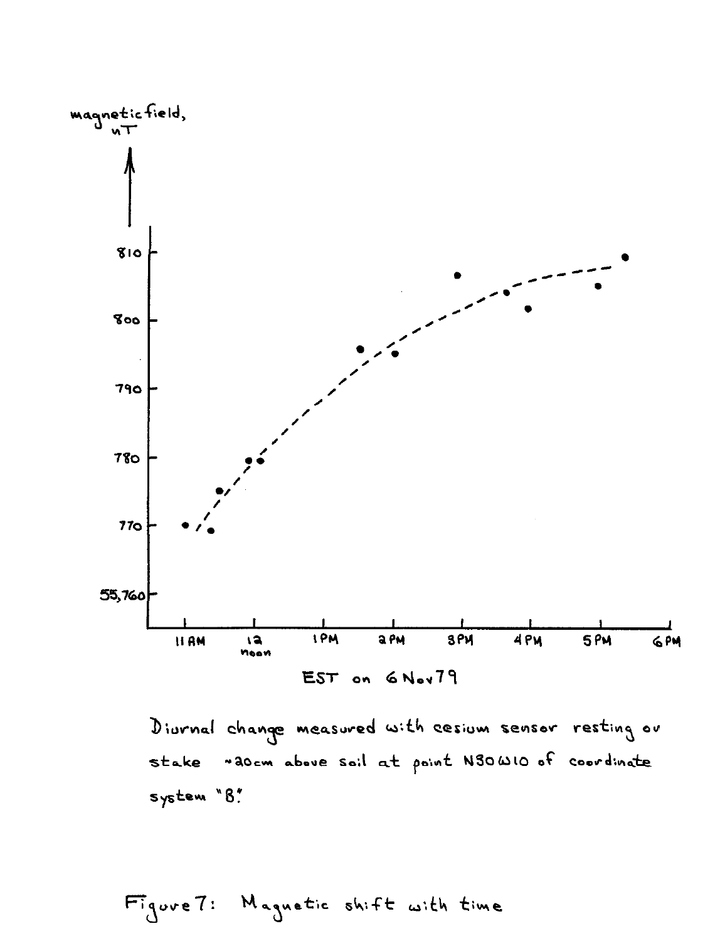

Divrnal change measured with cesium sensor resting or stake "adem above soil at point N30W10 of coordinate system "B"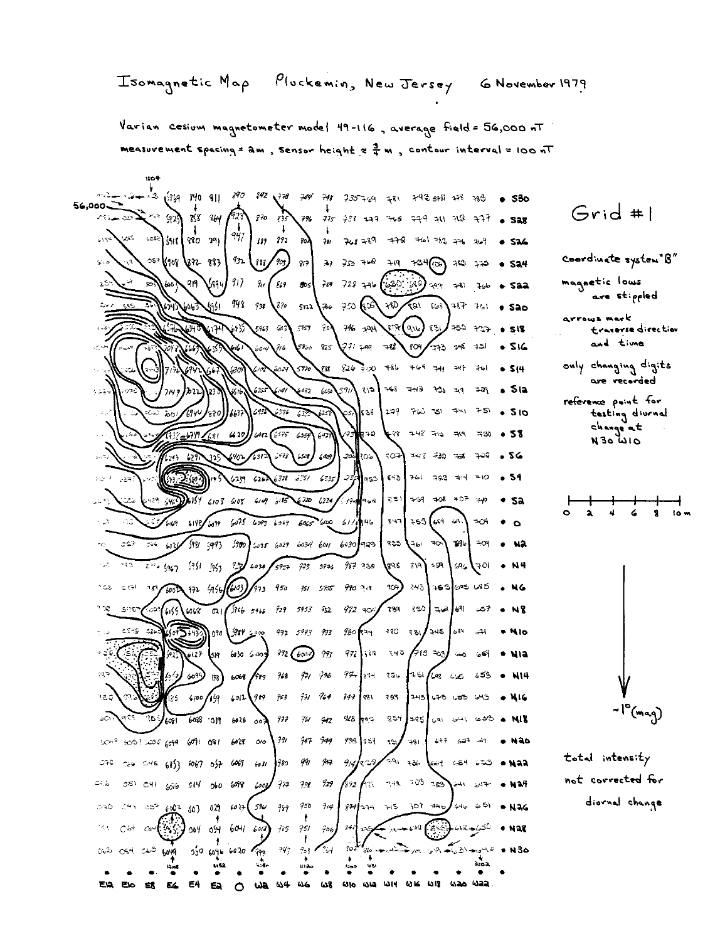Pluckemin, New Jersey Isomagnetic Map G November 1979

Varian cesium magnetometer model 49-116, average field = 56,000 nT measuvement spacing = am, sensor height  $x \frac{3}{4}$  m, contour interval = 100 nT

1104

 $\frac{1}{2}$  (1969 1990 811 1990 1992 1998 799 799 791 1935 769 781 792 5981 798 789 0 530  $56,000$  $Grid #l$  $-929$  $\epsilon_{12}$ الله سعدناته  $753 - 364$  $870$  $7%$   $775$   $75%$   $117$   $766$  $449 + 118 + 316 + 528$  $833$ 947  $127 - 772 - 80$  $6154$ టాక  $10^{-12}$   $511$   $870$   $191$  $768.789$  $-179$  $76136776$  $2\pi$  $20^{9}$ **S24** coordinate system B"  $q_{32}$  $257$ Kur Kes 383  $(m/s)$  $9/7$  $39$   $750$   $710$   $719$  $134\textcircled{m}$  319  $215$  $-524$  $759$  728 746  $(i20)$   $(i3)$  797 741 magnetic lows 917 99 ۵Ś  $\frac{g}{\omega}$  83 **SOS** حلوب  $-$  saa are stippled 948 ارائلى  $73$  $890$  $5n<sub>2</sub>$ 750 (200 PtD / 22) Scot  $147 - 761 =$  Sao arrows mark  $746 - 194$ 5963 903  $\mathfrak{on}(\mathfrak{a}_\mathcal{W})$  $331$ ≭ను ౫ూు  $\mathbb{C}^{3}\mathbb{S}^{3}$ 80) 518 Evaverse direction and time  $-516$ *371* Feel .<br>7860  $825$  $78$  $604$  $-733 - 748$ ادد 716 only changing digits  $926$   $900$   $486$   $764$ 5920 ru.  $241$ 761  $• 514$ 630 are recorded  $368 - 348$  $6032$  $\omega$ 5911  $351$ دومة ະສ  $.512$  $\lambda \geq 1$ reference point for  $1 - 9$  $760 - 151$  $-441$  $75$  $.510$ 552  $\ell^{\sigma_{\prime\prime\prime}}$ रुक testing diurnal 49 change at  $100 (635)$  $438 + 48 = 49$   $48$   $430$   $858$  $420$  $-2$  $6.59$ 75  $\left( \sqrt{2} \right)$  $0140$  of  $N$ فأوجأكم  $SO+$   $743.730 = 738$ ಾಂ 56  $\mathcal{I}_{\mathcal{W}}$  $(40)$ ło?.  $1 - 9 -$ فوول  $843$  761 793 714 710  $(157)$   $(26\sqrt{328} - 6.35)$  $635$ ر  $-54$  $\langle \cdot, \cdot \rangle^{(1)}$  $5.2.60$ las3  $\sim$  27  $-123$   $-640$  6154 6108 6108 6149 6135 ? /94<mark>4</mark>45€  $\gamma \lesssim 1$  $-59 - 108 - 107 = p$  $220, 6274$  $•$  sa عنت  $\mathbf{r}$  $\overline{\mathbf{r}}$  $\overline{\mathbf{a}}$  $6075$   $6093$   $6089$   $6065$   $6100$   $611$ **146**  $847$  253 (64 69)  $\tau$ ch  $4.19$  6142/6099  $\sim$  $357 - 356 - 603$  $198, 993$  $1900$ 6035 6029 6034 601 6030 923 **PAS**  $\rightarrow \infty$  $-796$   $-09$ ا ما ت NЭ  $\frac{1}{6}$   $\frac{1}{3}$   $\frac{1}{3}$   $\frac{1}{3}$   $\frac{1}{3}$   $\frac{1}{3}$   $\frac{1}{3}$   $\frac{1}{3}$   $\frac{1}{3}$   $\frac{1}{3}$   $\frac{1}{3}$   $\frac{1}{3}$   $\frac{1}{3}$   $\frac{1}{3}$   $\frac{1}{3}$   $\frac{1}{3}$   $\frac{1}{3}$   $\frac{1}{3}$   $\frac{1}{3}$   $\frac{1}{3}$   $\frac{1}{3}$   $\frac{1}{3}$   $\sqrt{8}$ 98 819 $\sqrt{ }$  $+59$   $\sqrt{59}$  $. N4$  $972.4141(103)$ 907) 343 463 695 685 n de  $\in \mathcal{K}^{\perp}_{\mathcal{T}}$  $57/6002$  $9,3, 950$  $751 - 5955$  $990 - 918$ NG ່າຍຊ ຂ\$ຽ| 7ڪ ا<sup>9</sup>⊌∫ھي<del>د</del> 539 ్లు (1155  $16068$   $021$   $306$   $5966$   $727$   $5953$   $922$  $972 - 90$  $+ N$  $980$   $(34 - 380 - 381)$  245  $681$  $-545 - 574$ 1090 جەھە بىھ بىر 992 5993 993  $-1$ \* Nio  $619$  6030 6000 792 (6000) 993  $972$  319 345 /783 303 Ξŝ اکست منبرا \* Nia  $6127$  $(37$  $94.11$  $6068 / 983$  $-7/6$  $971$   $776$  $326$   $151 / 298$   $625$   $653$   $\bullet$  NIH  $1/3$  $6012979737777777$  $747$  381  $3.97$ າຍຊ  $\sqrt{1/3}$  $245$  $143.150$   $153.013$   $\rightarrow$   $16$ ~I°(mag) ಸಿದ  $928$   $\sqrt{25}$  $554$  $608.09$   $601.800$  $977$  $-761 - 942$  $|z$ 95 $|z$ 91  $z$ 41  $z$ 40 **a NIB** kal.  $938$   $953$   $13$  $791$  $947 949$  $400 + 3003$  2006 6099 6091 081 6028 010  $761$  $6 + 7 = 627 - 31$  $\bullet$  Não total intensity  $9148329179178$  $0.70$   $7.66$   $0.48$   $6853$   $6057$   $657$   $6067$   $6087$   $6037$   $780$ 9M 947 **(**ራତ† ଜୟୋ ଜୟ**ି କାର୍ୟକ** not corrected for  $745$   $705$   $\frac{125}{250}$   $\frac{241}{241}$   $\frac{647}{247}$   $\bullet$  Nat  $\mathbb{C}\mathbb{Q}_\Theta$  $0.51 - 0.11 - 8016$ 014 060 698 6000  $137 - 33$  $\mathcal I$ 1892 Aw I diornal change  $5\%$   $55^{2}$   $60^{2}$  60) 029 6027 596 999  $750$  $914$  $874$  274 215 707 740  $651$  $+$  N<sub>26</sub> 546 حافت  $00409$   $604160$ ૯ <sub>ઝ</sub>⊶⊶ય કિષ્કે ناكمى جاما 194  $Cot$   $Cev$ <sup>1</sup>  $773 - 751$  $706$  $\frac{1}{3}$  $•$  Nat t  $702$ 003 004 005 6019  $\gamma q_j$  $903$   $301$  $40 - 62$  +  $40 - 6$  + N30  $35060166020793$  $E4$   $E4$ EA  $0.3 - 0.4 - 0.6$  $\sigma$ **WHO WHO WIN WIS WAD WAR** Elo EX E4  $\circ$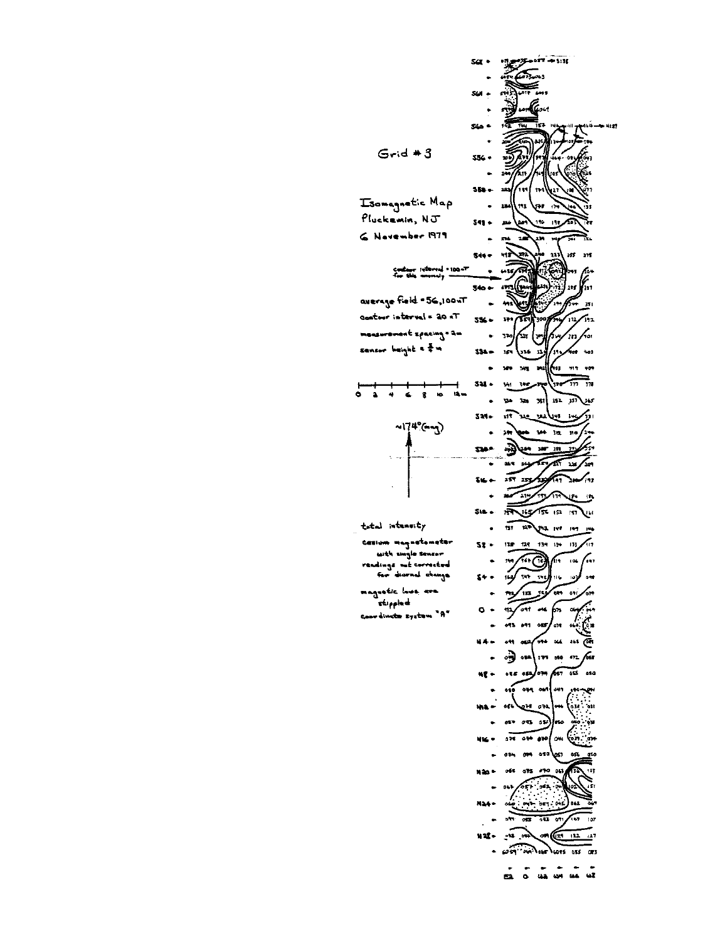

 $\ddot{a}$  $\ddot{\bullet}$ total intensity cesium magnetometer with single sensor dings me cor for diarnal change

st ppled